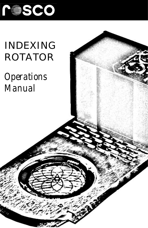

# INDEXING ROTATOR

# *Operations Manual*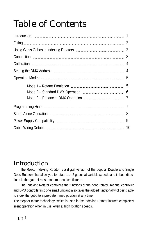# Table of Contents

|  | 8 |  |
|--|---|--|
|  |   |  |
|  |   |  |

# Introduction

The Rosco Indexing Rotator is a digital version of the popular Double and Single Gobo Rotators that allow you to rotate 1 or 2 gobos at variable speeds and in both directions in the gate of most modern theatrical fixtures.

The Indexing Rotator combines the functions of the gobo rotator, manual controller and DMX controller into one small unit and also gives the added functionality of being able to index the gobo to a pre-determined position at any time.

The stepper motor technology, which is used in the Indexing Rotator insures completely silent operation when in use, even at high rotation speeds.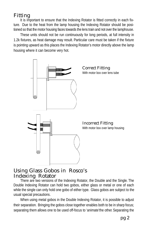## Fitting

It is important to ensure that the Indexing Rotator is fitted correctly in each fixture. Due to the heat from the lamp housing the Indexing Rotator should be positioned so that the motor housing faces towards the lens train and not over the lamphouse.

These units should not be run continuously for long periods, at full intensity in 1.2k fixtures, as heat damage may result. Particular care must be taken if the fixture is pointing upward as this places the Indexing Rotator's motor directly above the lamp housing where it can become very hot.



### Using Glass Gobos in Rosco's Indexing Rotator

There are two versions of the Indexing Rotator, the Double and the Single. The Double Indexing Rotator can hold two gobos, either glass or metal or one of each while the single can only hold one gobo of either type. Glass gobos are subject to the usual special precautions.

When using metal gobos in the Double Indexing Rotator, it is possible to adjust their separation. Bringing the gobos close together enables both to be in sharp focus; separating them allows one to be used off-focus to 'animate'the other. Separating the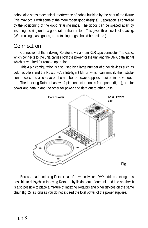gobos also stops mechanical interference of gobos buckled by the heat of the fixture (this may occur with some of the more "open"gobo designs). Separation is controlled by the positioning of the gobo retaining rings. The gobos can be spaced apart by inserting the ring under a gobo rather than on top. This gives three levels of spacing. (When using glass gobos, the retaining rings should be omitted.)

## **Connection**

Connection of the Indexing Rotator is via a 4 pin XLR type connector.The cable, which connects to the unit, carries both the power for the unit and the DMX data signal which is required for remote operation.

This 4 pin configuration is also used by a large number of other devices such as color scrollers and the Rosco I-Cue Intelligent Mirror, which can simplify the installation process and also save on the number of power supplies required in the venue.

The Indexing Rotator has two 4-pin connectors on its front panel (fig. 1), one for power and data in and the other for power and data out to other units.



Because each Indexing Rotator has it's own individual DMX address setting, it is possible to daisychain Indexing Rotators by linking out of one unit and into another. It is also possible to place a mixture of Indexing Rotators and other devices on the same chain (fig. 2), as long as you do not exceed the total power of the power supplies.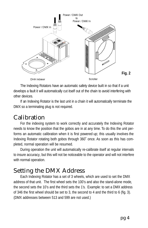

The Indexing Rotators have an automatic safety device built in so that if a unit develops a fault it will automatically cut itself out of the chain to avoid interfering with other devices.

If an Indexing Rotator is the last unit in a chain it will automatically terminate the DMX so a terminating plug is not required.

## Calibration

For the indexing system to work correctly and accurately the Indexing Rotator needs to know the position that the gobos are in at any time. To do this the unit performs an automatic calibration when it is first powered up; this usually involves the Indexing Rotator rotating both gobos through 360˚ once. As soon as this has completed, normal operation will be resumed.

During operation the unit will automatically re-calibrate itself at regular intervals to insure accuracy, but this will not be noticeable to the operator and will not interfere with normal operation.

# Setting the DMX Address

Each Indexing Rotator has a set of 3 wheels, which are used to set the DMX address of that unit. The first wheel sets the 100's and also the stand-alone mode, the second sets the 10's and the third sets the 1's. Example: to set a DMX address of 346 the first wheel should be set to 3, the second to 4 and the third to 6 (fig. 3). (DMX addresses between 513 and 599 are not used.)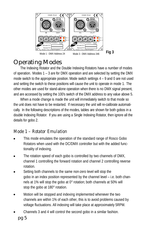

# Operating Modes

The Indexing Rotator and the Double Indexing Rotators have a number of modes of operation. Modes  $1 - 3$  are for DMX operation and are selected by setting the DMX mode switch to the appropriate position. Mode switch settings 4 – 9 and 0 are not used and setting the switch to these positions will cause the unit to operate in mode 1. The other modes are used for stand-alone operation when there is no DMX signal present, and are accessed by setting the 100's switch of the DMX address to any value above 5 .

When a mode change is made the unit will immediately switch to that mode so the unit does not have to be restarted. If necessary the unit will re-calibrate automatically. In the following descriptions of the modes, tables are shown for both gobos in a double Indexing Rotator. If you are using a Single Indexing Rotator, then ignore all the details for gobo 2.

### *Mode 1 – Rotator Emulation*

- This mode emulates the operation of the standard range of Rosco Gobo Rotators when used with the DC/DMX controller but with the added functionality of indexing.
- The rotation speed of each gobo is controlled by two channels of DMX, channel 1 controlling the forward rotation and channel 2 controlling reverse rotation.
- Setting both channels to the same non-zero level will stop the gobo in an index position represented by the channel level – i.e. both channels at 1% will stop the gobo at 0° rotation; both channels at 50% will stop the gobo at 180° rotation.
- Motion will be stopped and indexing implemented whenever the two channels are within 1% of each other, this is to avoid problems caused by voltage fluctuations. All indexing will take place at approximately 5RPM.
- Channels 3 and 4 will control the second gobo in a similar fashion.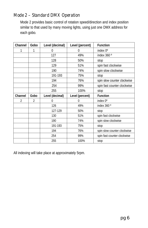#### *Mode 2 – Standard DMX Operation*

Mode 2 provides basic control of rotation speed/direction and index position similar to that used by many moving lights, using just one DMX address for each gobo.

| Channel | Gobo | Level (decimal) | Level (percent) | <b>Function</b>             |
|---------|------|-----------------|-----------------|-----------------------------|
| 1       | 1    | 0               | 0               | index 0°                    |
|         |      | 127             | 49%             | index 360 °                 |
|         |      | 128             | 50%             | stop                        |
|         |      | 129             | 51%             | spin fast clockwise         |
|         |      | 190             | 74%             | spin slow clockwise         |
|         |      | 191-193         | 75%             | stop                        |
|         |      | 194             | 76%             | spin slow counter clockwise |
|         |      | 254             | 99%             | spin fast counter clockwise |
|         |      | 255             | 100%            | stop                        |
| Channel | Gobo | Level (decimal) | Level (percent) | <b>Function</b>             |
| 2       | 2    | 0               | $^{0}$          | index 0°                    |
|         |      | 126             | 49%             | index 360 °                 |
|         |      | 127-129         | 50%             | stop                        |
|         |      | 130             | 51%             | spin fast clockwise         |
|         |      | 190             | 74%             | spin slow clockwise         |
|         |      | 191-193         | 75%             | stop                        |
|         |      | 194             | 76%             | spin slow counter clockwise |
|         |      | 254             | 99%             | spin fast counter clockwise |
|         |      | 255             | 100%            | stop                        |

All indexing will take place at approximately 5rpm.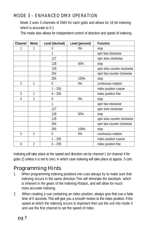#### *MODE 3 – ENHANCED DMX OPERATION*

Mode 3 uses 3 channels of DMX for each gobo and allows for 16 bit indexing which is accurate to 0.1

This mode also allows for independent control of direction and speed of indexing.

| Channel        | <b>Motor</b>   | Level (decimal) | Level (percent) | <b>Function</b>             |
|----------------|----------------|-----------------|-----------------|-----------------------------|
| 1              | 1              | 0               | 0%              | stop                        |
|                |                | 1               |                 | spin fast clockwise         |
|                |                | 127             |                 | spin slow clockwise         |
|                |                | 128             | 50%             | stop                        |
|                |                | 129             |                 | spin slow counter clockwise |
|                |                | 254             |                 | spin fast counter clockwise |
|                |                | 255             | 100%            | stop                        |
| $\overline{2}$ | $\mathbf{1}$   | $\mathbf{0}$    | 0%              | continuous rotation         |
|                |                | $1 - 255$       |                 | index position coarse       |
| 3              | 1              | $0 - 255$       |                 | index position fine         |
| 4              | $\overline{2}$ | 0               | 0%              | stop                        |
|                |                | 1               |                 | spin fast clockwise         |
|                |                | 127             |                 | spin slow clockwise         |
|                |                | 128             | 50%             | stop                        |
|                |                | 129             |                 | spin slow counter clockwise |
|                |                | 254             |                 | spin fast counter clockwise |
|                |                | 255             | 100%            | stop                        |
| 5              | $\mathfrak{p}$ | 0               | 0%              | continuous rotation         |
|                |                | 1 – 255         |                 | index position coarse       |
| 6              | $\mathfrak{p}$ | $0 - 255$       |                 | index position fine         |

Indexing will take place at the speed and direction set by channel 1 (or channel 4 for gobo 2) unless it is set to zero, in which case indexing will take place at approx. 5 rpm.

## Programming Hints

- 1. When programming indexing positions into cues always try to make sure that indexing occurs in the same direction.This will eliminate the backlash, which is inherent in the gears of the Indexing Rotator, and will allow for much more accurate indexing.
- 2. When creating a cue containing an index position, always give that cue a fade time of 0 seconds. This will give you a smooth motion to the index position. If the speed at which the indexing occurs is important then put the unit into mode 3 and use the first channel to set the speed of index.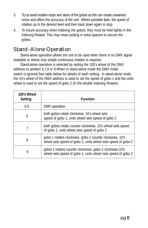- 3. Try to avoid sudden stops and starts of the gobos as this can create unwanted noise and affect the accuracy of the unit. Where possible fade, the speed of rotation up to the desired level and then back down again to stop.
- 4. To insure accuracy when indexing the gobos, they must be held tightly in the Indexing Rotator. This may mean putting in extra spacers to secure the gobos.

## Stand-Alone Operation

Stand-alone operation allows the unit to be used when there is no DMX signal available or where only simple continuous rotation is required.

Stand-alone operation is selected by setting the 100's wheel of the DMX address to position 6,7,8 or 9.When in stand-alone mode the DMX mode switch is ignored.See table below for details of each setting. In stand-alone mode the 10's wheel of the DMX address is used to set the speed of gobo 1 and the units wheel is used to set the speed of gobo 2 (in the double Indexing Rotator)

| 100's Wheel<br><b>Setting</b> | <b>Function</b>                                                                                                           |
|-------------------------------|---------------------------------------------------------------------------------------------------------------------------|
| $0 - 5$                       | DMX operation                                                                                                             |
| 6                             | both gobos rotate clockwise, 10's wheel sets<br>speed of gobo 1, units wheel sets speed of gobo 2                         |
| 7                             | both gobos rotate counter clockwise, 10's wheel sets speed<br>of gobo 1, units wheel sets speed of gobo 2                 |
| 8                             | gobo 1 rotates clockwise, gobo 2 counter clockwise, 10's<br>wheel sets speed of gobo 1, units wheel sets speed of gobo 2  |
| 9                             | gobol 1 rotates counter clockwise, gobo 2 clockwise, 10's<br>wheel sets speed of gobo 1, units wheel sets speed of gobo 2 |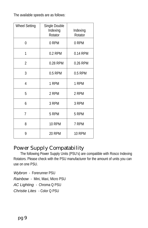The available speeds are as follows:

| <b>Wheel Setting</b> | Single Double<br>Indexing<br>Rotator | Indexing<br>Rotator |
|----------------------|--------------------------------------|---------------------|
| 0                    | 0 RPM                                | 0 RPM               |
| 1                    | 0.2 RPM                              | 0.14 RPM            |
| 2                    | 0.28 RPM                             | 0.26 RPM            |
| 3                    | 0.5 RPM                              | 0.5 RPM             |
| 4                    | 1 RPM                                | 1 RPM               |
| 5                    | 2 RPM                                | 2 RPM               |
| 6                    | 3 RPM                                | 3 RPM               |
| 7                    | 5 RPM                                | 5 RPM               |
| 8                    | <b>10 RPM</b>                        | 7 RPM               |
| 9                    | 20 RPM                               | <b>10 RPM</b>       |

### Power Supply Compatability

The following Power Supply Units (PSU's) are compatible with Rosco Indexing Rotators. Please check with the PSU manufacturer for the amount of units you can use on one PSU.

Wybron - Forerunner PSU Rainbow - Mini, Maxi, Micro PSU AC Lighting - Chroma Q PSU

Christie Lites - Color Q PSU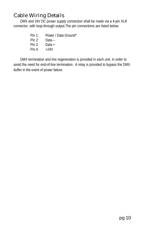## Cable Wiring Details

DMX and 24V DC power supply connection shall be made via a 4-pin XLR connector, with loop-through output.The pin connections are listed below:

- Pin 1: Power / Data Ground\*
- Pin 2: Data –
- $P$ in 3: Data +
- Pin 4:  $+24V$

DMX termination and line regeneration is provided in each unit, in order to avoid the need for end-of-line termination. A relay is provided to bypass the DMX buffer in the event of power failure.